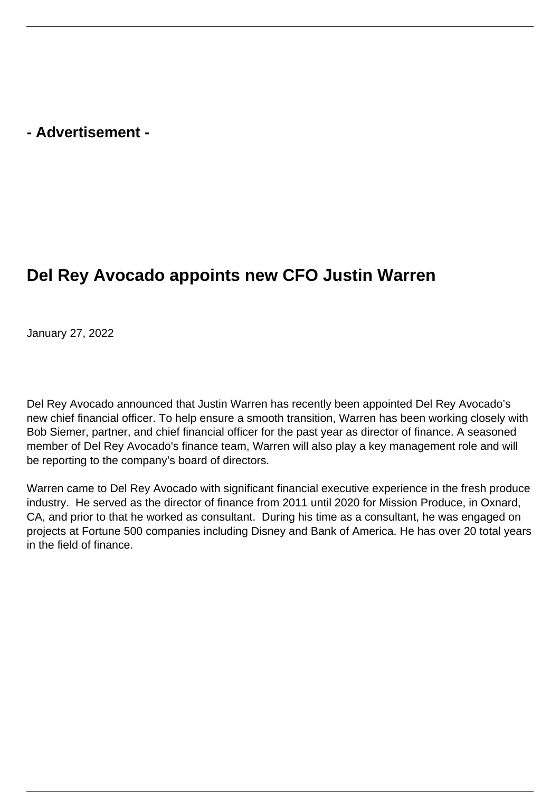## **- Advertisement -**

## **Del Rey Avocado appoints new CFO Justin Warren**

January 27, 2022

Del Rey Avocado announced that Justin Warren has recently been appointed Del Rey Avocado's new chief financial officer. To help ensure a smooth transition, Warren has been working closely with Bob Siemer, partner, and chief financial officer for the past year as director of finance. A seasoned member of Del Rey Avocado's finance team, Warren will also play a key management role and will be reporting to the company's board of directors.

Warren came to Del Rey Avocado with significant financial executive experience in the fresh produce industry. He served as the director of finance from 2011 until 2020 for Mission Produce, in Oxnard, CA, and prior to that he worked as consultant. During his time as a consultant, he was engaged on projects at Fortune 500 companies including Disney and Bank of America. He has over 20 total years in the field of finance.